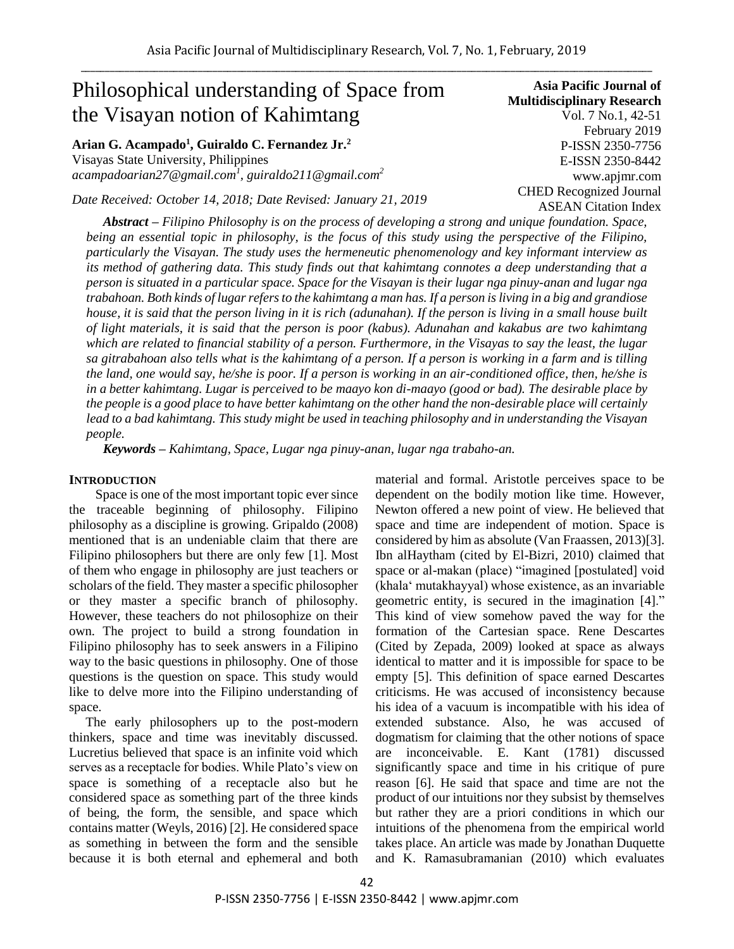# Philosophical understanding of Space from the Visayan notion of Kahimtang

# **Arian G. Acampado<sup>1</sup> , Guiraldo C. Fernandez Jr.<sup>2</sup>**

Visayas State University, Philippines *acampadoarian27@gmail.com<sup>1</sup> , guiraldo211@gmail.com<sup>2</sup>*

*Date Received: October 14, 2018; Date Revised: January 21, 2019*

**Asia Pacific Journal of Multidisciplinary Research** Vol. 7 No.1, 42-51 February 2019 P-ISSN 2350-7756 E-ISSN 2350-8442 www.apjmr.com CHED Recognized Journal ASEAN Citation Index

*Abstract – Filipino Philosophy is on the process of developing a strong and unique foundation. Space, being an essential topic in philosophy, is the focus of this study using the perspective of the Filipino, particularly the Visayan. The study uses the hermeneutic phenomenology and key informant interview as its method of gathering data. This study finds out that kahimtang connotes a deep understanding that a person is situated in a particular space. Space for the Visayan is their lugar nga pinuy-anan and lugar nga trabahoan. Both kinds of lugar refers to the kahimtang a man has. If a person is living in a big and grandiose house, it is said that the person living in it is rich (adunahan). If the person is living in a small house built of light materials, it is said that the person is poor (kabus). Adunahan and kakabus are two kahimtang which are related to financial stability of a person. Furthermore, in the Visayas to say the least, the lugar sa gitrabahoan also tells what is the kahimtang of a person. If a person is working in a farm and is tilling the land, one would say, he/she is poor. If a person is working in an air-conditioned office, then, he/she is in a better kahimtang. Lugar is perceived to be maayo kon di-maayo (good or bad). The desirable place by the people is a good place to have better kahimtang on the other hand the non-desirable place will certainly lead to a bad kahimtang. This study might be used in teaching philosophy and in understanding the Visayan people.* 

*Keywords – Kahimtang, Space, Lugar nga pinuy-anan, lugar nga trabaho-an.*

#### **INTRODUCTION**

 Space is one of the most important topic ever since the traceable beginning of philosophy. Filipino philosophy as a discipline is growing. Gripaldo (2008) mentioned that is an undeniable claim that there are Filipino philosophers but there are only few [1]. Most of them who engage in philosophy are just teachers or scholars of the field. They master a specific philosopher or they master a specific branch of philosophy. However, these teachers do not philosophize on their own. The project to build a strong foundation in Filipino philosophy has to seek answers in a Filipino way to the basic questions in philosophy. One of those questions is the question on space. This study would like to delve more into the Filipino understanding of space.

 The early philosophers up to the post-modern thinkers, space and time was inevitably discussed. Lucretius believed that space is an infinite void which serves as a receptacle for bodies. While Plato's view on space is something of a receptacle also but he considered space as something part of the three kinds of being, the form, the sensible, and space which contains matter (Weyls, 2016) [2]. He considered space as something in between the form and the sensible because it is both eternal and ephemeral and both material and formal. Aristotle perceives space to be dependent on the bodily motion like time. However, Newton offered a new point of view. He believed that space and time are independent of motion. Space is considered by him as absolute (Van Fraassen, 2013)[3]. Ibn alHaytham (cited by El-Bizri, 2010) claimed that space or al-makan (place) "imagined [postulated] void (khala' mutakhayyal) whose existence, as an invariable geometric entity, is secured in the imagination [4]." This kind of view somehow paved the way for the formation of the Cartesian space. Rene Descartes (Cited by Zepada, 2009) looked at space as always identical to matter and it is impossible for space to be empty [5]. This definition of space earned Descartes criticisms. He was accused of inconsistency because his idea of a vacuum is incompatible with his idea of extended substance. Also, he was accused of dogmatism for claiming that the other notions of space are inconceivable. E. Kant (1781) discussed significantly space and time in his critique of pure reason [6]. He said that space and time are not the product of our intuitions nor they subsist by themselves but rather they are a priori conditions in which our intuitions of the phenomena from the empirical world takes place. An article was made by Jonathan Duquette and K. Ramasubramanian (2010) which evaluates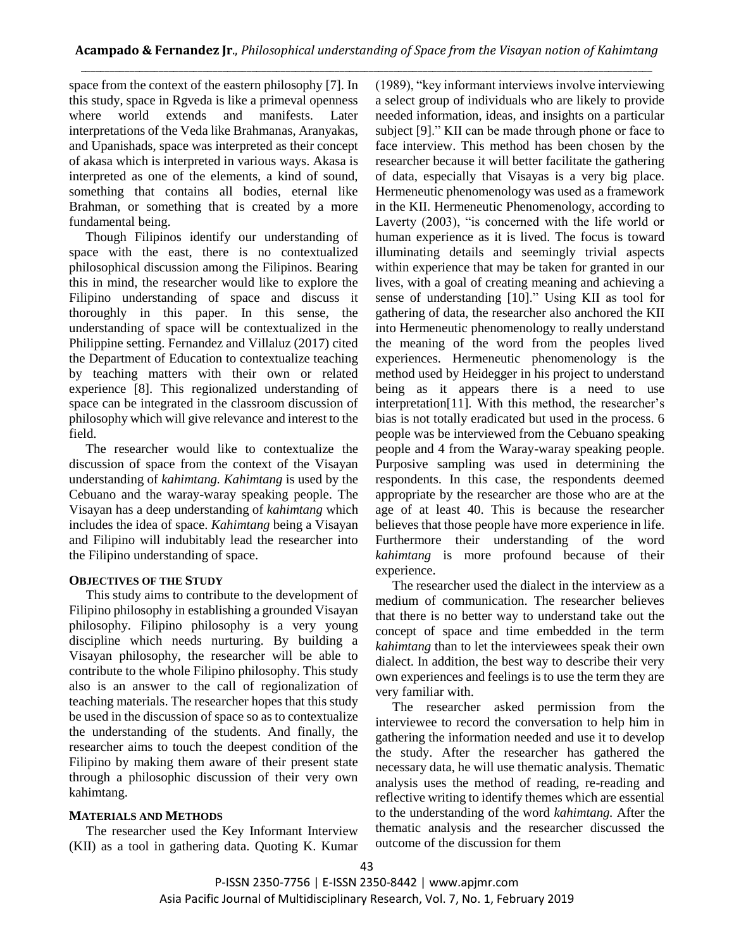space from the context of the eastern philosophy [7]. In this study, space in Rgveda is like a primeval openness where world extends and manifests. Later interpretations of the Veda like Brahmanas, Aranyakas, and Upanishads, space was interpreted as their concept of akasa which is interpreted in various ways. Akasa is interpreted as one of the elements, a kind of sound, something that contains all bodies, eternal like Brahman, or something that is created by a more fundamental being.

 Though Filipinos identify our understanding of space with the east, there is no contextualized philosophical discussion among the Filipinos. Bearing this in mind, the researcher would like to explore the Filipino understanding of space and discuss it thoroughly in this paper. In this sense, the understanding of space will be contextualized in the Philippine setting. Fernandez and Villaluz (2017) cited the Department of Education to contextualize teaching by teaching matters with their own or related experience [8]. This regionalized understanding of space can be integrated in the classroom discussion of philosophy which will give relevance and interest to the field.

 The researcher would like to contextualize the discussion of space from the context of the Visayan understanding of *kahimtang. Kahimtang* is used by the Cebuano and the waray-waray speaking people. The Visayan has a deep understanding of *kahimtang* which includes the idea of space. *Kahimtang* being a Visayan and Filipino will indubitably lead the researcher into the Filipino understanding of space.

### **OBJECTIVES OF THE STUDY**

This study aims to contribute to the development of Filipino philosophy in establishing a grounded Visayan philosophy. Filipino philosophy is a very young discipline which needs nurturing. By building a Visayan philosophy, the researcher will be able to contribute to the whole Filipino philosophy. This study also is an answer to the call of regionalization of teaching materials. The researcher hopes that this study be used in the discussion of space so as to contextualize the understanding of the students. And finally, the researcher aims to touch the deepest condition of the Filipino by making them aware of their present state through a philosophic discussion of their very own kahimtang.

### **MATERIALS AND METHODS**

The researcher used the Key Informant Interview (KII) as a tool in gathering data. Quoting K. Kumar (1989), "key informant interviews involve interviewing a select group of individuals who are likely to provide needed information, ideas, and insights on a particular subject [9]." KII can be made through phone or face to face interview. This method has been chosen by the researcher because it will better facilitate the gathering of data, especially that Visayas is a very big place. Hermeneutic phenomenology was used as a framework in the KII. Hermeneutic Phenomenology, according to Laverty (2003), "is concerned with the life world or human experience as it is lived. The focus is toward illuminating details and seemingly trivial aspects within experience that may be taken for granted in our lives, with a goal of creating meaning and achieving a sense of understanding [10]." Using KII as tool for gathering of data, the researcher also anchored the KII into Hermeneutic phenomenology to really understand the meaning of the word from the peoples lived experiences. Hermeneutic phenomenology is the method used by Heidegger in his project to understand being as it appears there is a need to use interpretation[11]. With this method, the researcher's bias is not totally eradicated but used in the process. 6 people was be interviewed from the Cebuano speaking people and 4 from the Waray-waray speaking people. Purposive sampling was used in determining the respondents. In this case, the respondents deemed appropriate by the researcher are those who are at the age of at least 40. This is because the researcher believes that those people have more experience in life. Furthermore their understanding of the word *kahimtang* is more profound because of their experience.

The researcher used the dialect in the interview as a medium of communication. The researcher believes that there is no better way to understand take out the concept of space and time embedded in the term *kahimtang* than to let the interviewees speak their own dialect. In addition, the best way to describe their very own experiences and feelings is to use the term they are very familiar with.

The researcher asked permission from the interviewee to record the conversation to help him in gathering the information needed and use it to develop the study. After the researcher has gathered the necessary data, he will use thematic analysis. Thematic analysis uses the method of reading, re-reading and reflective writing to identify themes which are essential to the understanding of the word *kahimtang.* After the thematic analysis and the researcher discussed the outcome of the discussion for them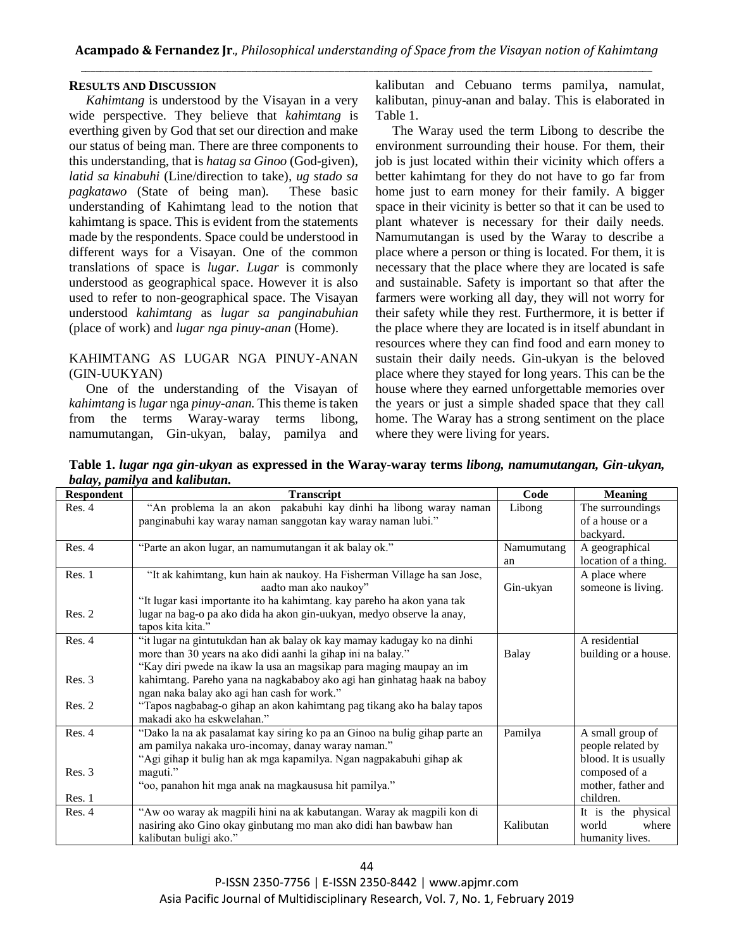#### **RESULTS AND DISCUSSION**

*Kahimtang* is understood by the Visayan in a very wide perspective. They believe that *kahimtang* is everthing given by God that set our direction and make our status of being man. There are three components to this understanding, that is *hatag sa Ginoo* (God-given)*, latid sa kinabuhi* (Line/direction to take)*, ug stado sa pagkatawo* (State of being man)*.* These basic understanding of Kahimtang lead to the notion that kahimtang is space. This is evident from the statements made by the respondents. Space could be understood in different ways for a Visayan. One of the common translations of space is *lugar. Lugar* is commonly understood as geographical space. However it is also used to refer to non-geographical space. The Visayan understood *kahimtang* as *lugar sa panginabuhian*  (place of work) and *lugar nga pinuy-anan* (Home).

#### KAHIMTANG AS LUGAR NGA PINUY-ANAN (GIN-UUKYAN)

One of the understanding of the Visayan of *kahimtang* is *lugar* nga *pinuy-anan.* This theme is taken from the terms Waray-waray terms libong, namumutangan, Gin-ukyan, balay, pamilya and kalibutan and Cebuano terms pamilya, namulat, kalibutan, pinuy-anan and balay. This is elaborated in Table 1.

The Waray used the term Libong to describe the environment surrounding their house. For them, their job is just located within their vicinity which offers a better kahimtang for they do not have to go far from home just to earn money for their family. A bigger space in their vicinity is better so that it can be used to plant whatever is necessary for their daily needs. Namumutangan is used by the Waray to describe a place where a person or thing is located. For them, it is necessary that the place where they are located is safe and sustainable. Safety is important so that after the farmers were working all day, they will not worry for their safety while they rest. Furthermore, it is better if the place where they are located is in itself abundant in resources where they can find food and earn money to sustain their daily needs. Gin-ukyan is the beloved place where they stayed for long years. This can be the house where they earned unforgettable memories over the years or just a simple shaded space that they call home. The Waray has a strong sentiment on the place where they were living for years.

**Table 1.** *lugar nga gin-ukyan* **as expressed in the Waray-waray terms** *libong, namumutangan, Gin-ukyan, balay, pamilya* **and** *kalibutan.*

| J J F<br><b>Respondent</b> | <b>Transcript</b>                                                          | Code       | <b>Meaning</b>       |
|----------------------------|----------------------------------------------------------------------------|------------|----------------------|
| Res. 4                     | "An problema la an akon pakabuhi kay dinhi ha libong waray naman           | Libong     | The surroundings     |
|                            | panginabuhi kay waray naman sanggotan kay waray naman lubi."               |            | of a house or a      |
|                            |                                                                            |            | backyard.            |
| Res. 4                     | "Parte an akon lugar, an namumutangan it ak balay ok."                     | Namumutang | A geographical       |
|                            |                                                                            | an         | location of a thing. |
| Res. 1                     | "It ak kahimtang, kun hain ak naukoy. Ha Fisherman Village ha san Jose,    |            | A place where        |
|                            | aadto man ako naukoy"                                                      | Gin-ukyan  | someone is living.   |
|                            | "It lugar kasi importante ito ha kahimtang. kay pareho ha akon yana tak    |            |                      |
| Res. 2                     | lugar na bag-o pa ako dida ha akon gin-uukyan, medyo observe la anay,      |            |                      |
|                            | tapos kita kita."                                                          |            |                      |
| Res. 4                     | "it lugar na gintutukdan han ak balay ok kay mamay kadugay ko na dinhi     |            | A residential        |
|                            | more than 30 years na ako didi aanhi la gihap ini na balay."               | Balay      | building or a house. |
|                            | "Kay diri pwede na ikaw la usa an magsikap para maging maupay an im        |            |                      |
| Res. 3                     | kahimtang. Pareho yana na nagkababoy ako agi han ginhatag haak na baboy    |            |                      |
|                            | ngan naka balay ako agi han cash for work."                                |            |                      |
| Res. 2                     | "Tapos nagbabag-o gihap an akon kahimtang pag tikang ako ha balay tapos    |            |                      |
|                            | makadi ako ha eskwelahan."                                                 |            |                      |
| Res. 4                     | "Dako la na ak pasalamat kay siring ko pa an Ginoo na bulig gihap parte an | Pamilya    | A small group of     |
|                            | am pamilya nakaka uro-incomay, danay waray naman."                         |            | people related by    |
|                            | "Agi gihap it bulig han ak mga kapamilya. Ngan nagpakabuhi gihap ak        |            | blood. It is usually |
| Res. 3                     | maguti."                                                                   |            | composed of a        |
|                            | "oo, panahon hit mga anak na magkaususa hit pamilya."                      |            | mother, father and   |
| Res. 1                     |                                                                            |            | children.            |
| Res. 4                     | "Aw oo waray ak magpili hini na ak kabutangan. Waray ak magpili kon di     |            | It is the physical   |
|                            | nasiring ako Gino okay ginbutang mo man ako didi han bawbaw han            | Kalibutan  | world<br>where       |
|                            | kalibutan buligi ako."                                                     |            | humanity lives.      |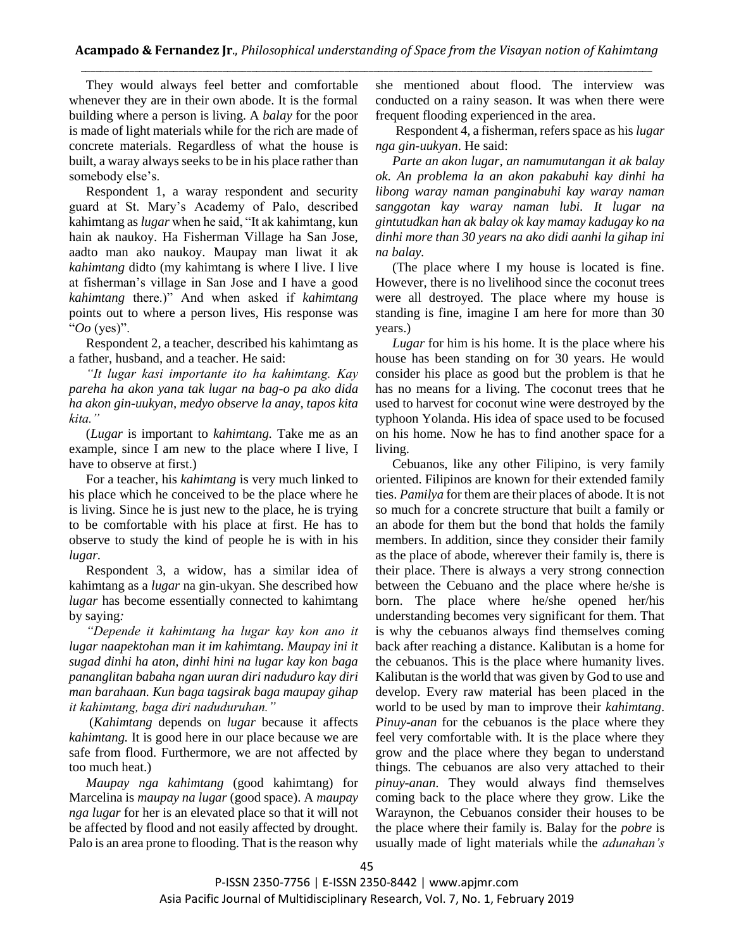They would always feel better and comfortable whenever they are in their own abode. It is the formal building where a person is living. A *balay* for the poor is made of light materials while for the rich are made of concrete materials. Regardless of what the house is built, a waray always seeks to be in his place rather than somebody else's.

Respondent 1, a waray respondent and security guard at St. Mary's Academy of Palo, described kahimtang as *lugar* when he said, "It ak kahimtang, kun hain ak naukoy. Ha Fisherman Village ha San Jose, aadto man ako naukoy. Maupay man liwat it ak *kahimtang* didto (my kahimtang is where I live. I live at fisherman's village in San Jose and I have a good *kahimtang* there.)" And when asked if *kahimtang*  points out to where a person lives, His response was "*Oo* (yes)".

Respondent 2, a teacher, described his kahimtang as a father, husband, and a teacher. He said:

*"It lugar kasi importante ito ha kahimtang. Kay pareha ha akon yana tak lugar na bag-o pa ako dida ha akon gin-uukyan, medyo observe la anay, tapos kita kita."*

(*Lugar* is important to *kahimtang.* Take me as an example, since I am new to the place where I live, I have to observe at first.)

For a teacher, his *kahimtang* is very much linked to his place which he conceived to be the place where he is living. Since he is just new to the place, he is trying to be comfortable with his place at first. He has to observe to study the kind of people he is with in his *lugar.*

Respondent 3, a widow, has a similar idea of kahimtang as a *lugar* na gin-ukyan. She described how *lugar* has become essentially connected to kahimtang by saying*:*

*"Depende it kahimtang ha lugar kay kon ano it lugar naapektohan man it im kahimtang. Maupay ini it sugad dinhi ha aton, dinhi hini na lugar kay kon baga pananglitan babaha ngan uuran diri naduduro kay diri man barahaan. Kun baga tagsirak baga maupay gihap it kahimtang, baga diri naduduruhan."*

(*Kahimtang* depends on *lugar* because it affects *kahimtang.* It is good here in our place because we are safe from flood. Furthermore, we are not affected by too much heat.)

*Maupay nga kahimtang* (good kahimtang) for Marcelina is *maupay na lugar* (good space). A *maupay nga lugar* for her is an elevated place so that it will not be affected by flood and not easily affected by drought. Palo is an area prone to flooding. That is the reason why she mentioned about flood. The interview was conducted on a rainy season. It was when there were frequent flooding experienced in the area.

Respondent 4, a fisherman, refers space as his *lugar nga gin-uukyan*. He said:

*Parte an akon lugar, an namumutangan it ak balay ok. An problema la an akon pakabuhi kay dinhi ha libong waray naman panginabuhi kay waray naman sanggotan kay waray naman lubi. It lugar na gintutudkan han ak balay ok kay mamay kadugay ko na dinhi more than 30 years na ako didi aanhi la gihap ini na balay.* 

(The place where I my house is located is fine. However, there is no livelihood since the coconut trees were all destroyed. The place where my house is standing is fine, imagine I am here for more than 30 years.)

*Lugar* for him is his home. It is the place where his house has been standing on for 30 years. He would consider his place as good but the problem is that he has no means for a living. The coconut trees that he used to harvest for coconut wine were destroyed by the typhoon Yolanda. His idea of space used to be focused on his home. Now he has to find another space for a living.

Cebuanos, like any other Filipino, is very family oriented. Filipinos are known for their extended family ties. *Pamilya* for them are their places of abode. It is not so much for a concrete structure that built a family or an abode for them but the bond that holds the family members. In addition, since they consider their family as the place of abode, wherever their family is, there is their place. There is always a very strong connection between the Cebuano and the place where he/she is born. The place where he/she opened her/his understanding becomes very significant for them. That is why the cebuanos always find themselves coming back after reaching a distance. Kalibutan is a home for the cebuanos. This is the place where humanity lives. Kalibutan is the world that was given by God to use and develop. Every raw material has been placed in the world to be used by man to improve their *kahimtang*. *Pinuy*-*anan* for the cebuanos is the place where they feel very comfortable with. It is the place where they grow and the place where they began to understand things. The cebuanos are also very attached to their *pinuy-anan*. They would always find themselves coming back to the place where they grow. Like the Waraynon, the Cebuanos consider their houses to be the place where their family is. Balay for the *pobre* is usually made of light materials while the *adunahan's*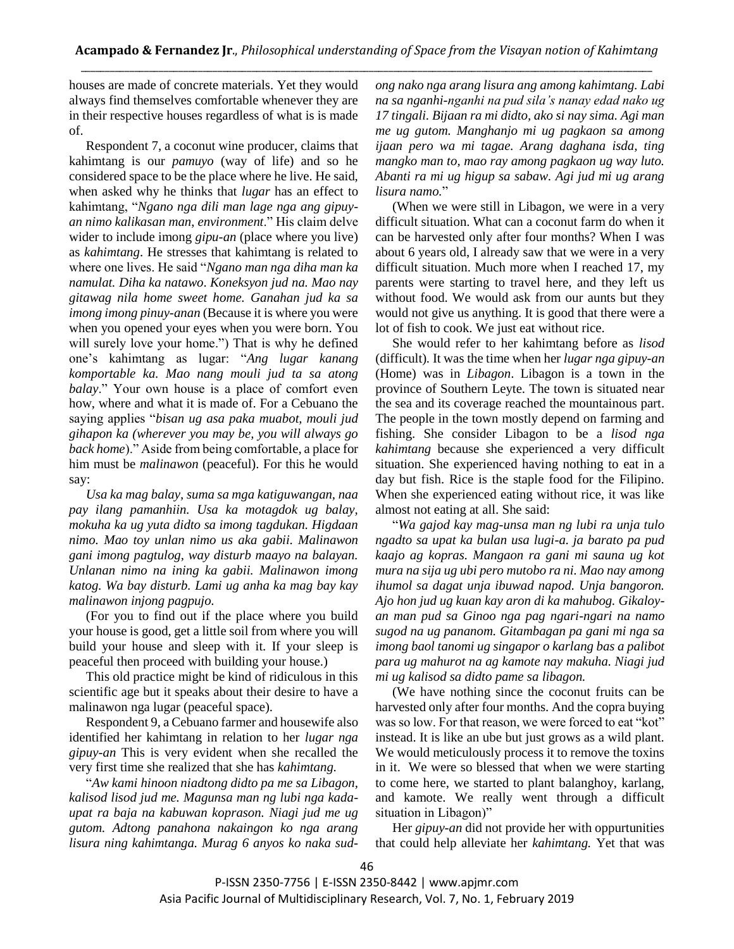houses are made of concrete materials. Yet they would always find themselves comfortable whenever they are in their respective houses regardless of what is is made of.

Respondent 7, a coconut wine producer, claims that kahimtang is our *pamuyo* (way of life) and so he considered space to be the place where he live. He said, when asked why he thinks that *lugar* has an effect to kahimtang, "*Ngano nga dili man lage nga ang gipuyan nimo kalikasan man*, *environment*." His claim delve wider to include imong *gipu-an* (place where you live) as *kahimtang*. He stresses that kahimtang is related to where one lives. He said "*Ngano man nga diha man ka namulat. Diha ka natawo*. *Koneksyon jud na. Mao nay gitawag nila home sweet home. Ganahan jud ka sa imong imong pinuy-anan* (Because it is where you were when you opened your eyes when you were born. You will surely love your home.") That is why he defined one's kahimtang as lugar: "*Ang lugar kanang komportable ka. Mao nang mouli jud ta sa atong balay*." Your own house is a place of comfort even how, where and what it is made of. For a Cebuano the saying applies "*bisan ug asa paka muabot, mouli jud gihapon ka (wherever you may be, you will always go back home*)." Aside from being comfortable, a place for him must be *malinawon* (peaceful). For this he would say:

*Usa ka mag balay, suma sa mga katiguwangan, naa pay ilang pamanhiin. Usa ka motagdok ug balay, mokuha ka ug yuta didto sa imong tagdukan. Higdaan nimo. Mao toy unlan nimo us aka gabii. Malinawon gani imong pagtulog, way disturb maayo na balayan. Unlanan nimo na ining ka gabii. Malinawon imong katog. Wa bay disturb. Lami ug anha ka mag bay kay malinawon injong pagpujo.*

(For you to find out if the place where you build your house is good, get a little soil from where you will build your house and sleep with it. If your sleep is peaceful then proceed with building your house.)

This old practice might be kind of ridiculous in this scientific age but it speaks about their desire to have a malinawon nga lugar (peaceful space).

Respondent 9, a Cebuano farmer and housewife also identified her kahimtang in relation to her *lugar nga gipuy-an* This is very evident when she recalled the very first time she realized that she has *kahimtang.* 

"*Aw kami hinoon niadtong didto pa me sa Libagon, kalisod lisod jud me. Magunsa man ng lubi nga kadaupat ra baja na kabuwan koprason. Niagi jud me ug gutom. Adtong panahona nakaingon ko nga arang lisura ning kahimtanga. Murag 6 anyos ko naka sud-* *ong nako nga arang lisura ang among kahimtang. Labi na sa nganhi-nganhi na pud sila's nanay edad nako ug 17 tingali. Bijaan ra mi didto, ako si nay sima. Agi man me ug gutom. Manghanjo mi ug pagkaon sa among ijaan pero wa mi tagae. Arang daghana isda, ting mangko man to, mao ray among pagkaon ug way luto. Abanti ra mi ug higup sa sabaw. Agi jud mi ug arang lisura namo.*"

(When we were still in Libagon, we were in a very difficult situation. What can a coconut farm do when it can be harvested only after four months? When I was about 6 years old, I already saw that we were in a very difficult situation. Much more when I reached 17, my parents were starting to travel here, and they left us without food. We would ask from our aunts but they would not give us anything. It is good that there were a lot of fish to cook. We just eat without rice.

She would refer to her kahimtang before as *lisod*  (difficult)*.* It was the time when her *lugar nga gipuy-an* (Home) was in *Libagon*. Libagon is a town in the province of Southern Leyte. The town is situated near the sea and its coverage reached the mountainous part. The people in the town mostly depend on farming and fishing. She consider Libagon to be a *lisod nga kahimtang* because she experienced a very difficult situation. She experienced having nothing to eat in a day but fish. Rice is the staple food for the Filipino. When she experienced eating without rice, it was like almost not eating at all. She said:

"*Wa gajod kay mag-unsa man ng lubi ra unja tulo ngadto sa upat ka bulan usa lugi-a. ja barato pa pud kaajo ag kopras. Mangaon ra gani mi sauna ug kot mura na sija ug ubi pero mutobo ra ni. Mao nay among ihumol sa dagat unja ibuwad napod. Unja bangoron. Ajo hon jud ug kuan kay aron di ka mahubog. Gikaloyan man pud sa Ginoo nga pag ngari-ngari na namo sugod na ug pananom. Gitambagan pa gani mi nga sa imong baol tanomi ug singapor o karlang bas a palibot para ug mahurot na ag kamote nay makuha. Niagi jud mi ug kalisod sa didto pame sa libagon.*

(We have nothing since the coconut fruits can be harvested only after four months. And the copra buying was so low. For that reason, we were forced to eat "kot" instead. It is like an ube but just grows as a wild plant. We would meticulously process it to remove the toxins in it. We were so blessed that when we were starting to come here, we started to plant balanghoy, karlang, and kamote. We really went through a difficult situation in Libagon)"

Her *gipuy-an* did not provide her with oppurtunities that could help alleviate her *kahimtang.* Yet that was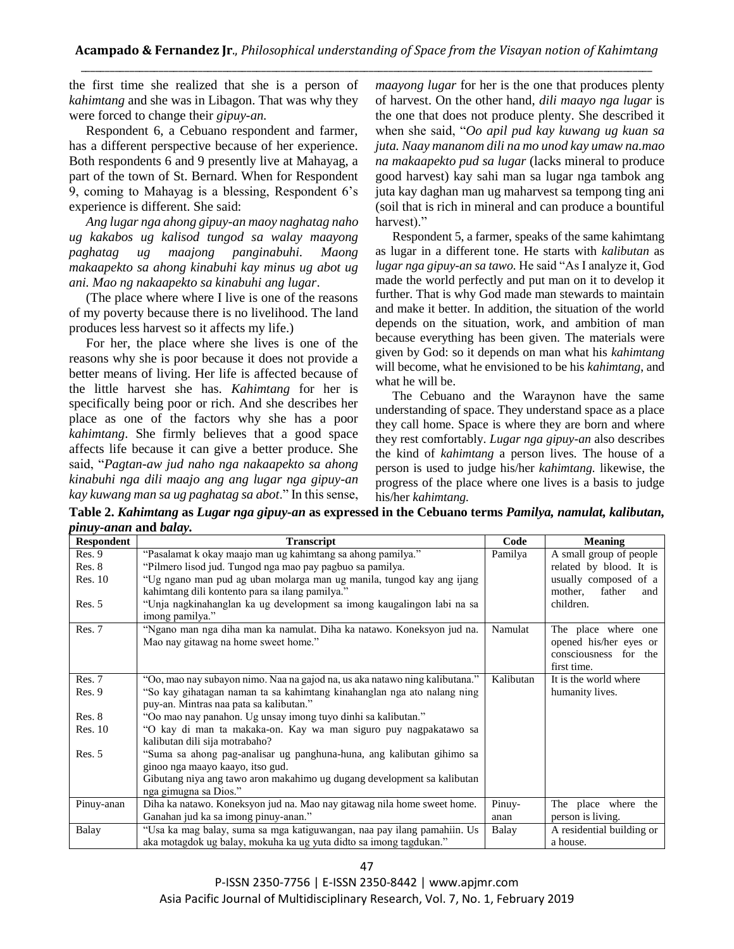the first time she realized that she is a person of *kahimtang* and she was in Libagon. That was why they were forced to change their *gipuy-an.*

Respondent 6, a Cebuano respondent and farmer, has a different perspective because of her experience. Both respondents 6 and 9 presently live at Mahayag, a part of the town of St. Bernard. When for Respondent 9, coming to Mahayag is a blessing, Respondent 6's experience is different. She said:

*Ang lugar nga ahong gipuy-an maoy naghatag naho ug kakabos ug kalisod tungod sa walay maayong paghatag ug maajong panginabuhi. Maong makaapekto sa ahong kinabuhi kay minus ug abot ug ani. Mao ng nakaapekto sa kinabuhi ang lugar*.

(The place where where I live is one of the reasons of my poverty because there is no livelihood. The land produces less harvest so it affects my life.)

For her, the place where she lives is one of the reasons why she is poor because it does not provide a better means of living. Her life is affected because of the little harvest she has. *Kahimtang* for her is specifically being poor or rich. And she describes her place as one of the factors why she has a poor *kahimtang*. She firmly believes that a good space affects life because it can give a better produce. She said, "*Pagtan-aw jud naho nga nakaapekto sa ahong kinabuhi nga dili maajo ang ang lugar nga gipuy-an kay kuwang man sa ug paghatag sa abot*." In this sense, *maayong lugar* for her is the one that produces plenty of harvest. On the other hand, *dili maayo nga lugar* is the one that does not produce plenty. She described it when she said, "*Oo apil pud kay kuwang ug kuan sa juta. Naay mananom dili na mo unod kay umaw na.mao na makaapekto pud sa lugar* (lacks mineral to produce good harvest) kay sahi man sa lugar nga tambok ang juta kay daghan man ug maharvest sa tempong ting ani (soil that is rich in mineral and can produce a bountiful harvest)."

Respondent 5, a farmer, speaks of the same kahimtang as lugar in a different tone. He starts with *kalibutan* as *lugar nga gipuy-an sa tawo.* He said "As I analyze it, God made the world perfectly and put man on it to develop it further. That is why God made man stewards to maintain and make it better. In addition, the situation of the world depends on the situation, work, and ambition of man because everything has been given. The materials were given by God: so it depends on man what his *kahimtang* will become, what he envisioned to be his *kahimtang*, and what he will be.

The Cebuano and the Waraynon have the same understanding of space. They understand space as a place they call home. Space is where they are born and where they rest comfortably. *Lugar nga gipuy-an* also describes the kind of *kahimtang* a person lives. The house of a person is used to judge his/her *kahimtang.* likewise, the progress of the place where one lives is a basis to judge his/her *kahimtang.*

**Table 2.** *Kahimtang* **as** *Lugar nga gipuy-an* **as expressed in the Cebuano terms** *Pamilya, namulat, kalibutan, pinuy-anan* **and** *balay.* 

| <b>Respondent</b> | <b>Transcript</b>                                                                                                  | Code      | Meaning                                                                               |
|-------------------|--------------------------------------------------------------------------------------------------------------------|-----------|---------------------------------------------------------------------------------------|
| Res. 9            | "Pasalamat k okay maajo man ug kahimtang sa ahong pamilya."                                                        | Pamilya   | A small group of people                                                               |
| Res. 8            | "Pilmero lisod jud. Tungod nga mao pay pagbuo sa pamilya.                                                          |           | related by blood. It is                                                               |
| <b>Res. 10</b>    | "Ug ngano man pud ag uban molarga man ug manila, tungod kay ang ijang                                              |           | usually composed of a                                                                 |
|                   | kahimtang dili kontento para sa ilang pamilya."                                                                    |           | father<br>mother,<br>and                                                              |
| Res. 5            | "Unja nagkinahanglan ka ug development sa imong kaugalingon labi na sa<br>imong pamilya."                          |           | children.                                                                             |
| Res. 7            | "Ngano man nga diha man ka namulat. Diha ka natawo. Koneksyon jud na.<br>Mao nay gitawag na home sweet home."      | Namulat   | The place where one<br>opened his/her eyes or<br>consciousness for the<br>first time. |
| Res. 7            | "Oo, mao nay subayon nimo. Naa na gajod na, us aka natawo ning kalibutana."                                        | Kalibutan | It is the world where                                                                 |
| Res. 9            | "So kay gihatagan naman ta sa kahimtang kinahanglan nga ato nalang ning<br>puy-an. Mintras naa pata sa kalibutan." |           | humanity lives.                                                                       |
| Res. 8            | "Oo mao nay panahon. Ug unsay imong tuyo dinhi sa kalibutan."                                                      |           |                                                                                       |
| <b>Res. 10</b>    | "O kay di man ta makaka-on. Kay wa man siguro puy nagpakatawo sa                                                   |           |                                                                                       |
|                   | kalibutan dili sija motrabaho?                                                                                     |           |                                                                                       |
| Res. 5            | "Suma sa ahong pag-analisar ug panghuna-huna, ang kalibutan gihimo sa                                              |           |                                                                                       |
|                   | ginoo nga maayo kaayo, itso gud.                                                                                   |           |                                                                                       |
|                   | Gibutang niya ang tawo aron makahimo ug dugang development sa kalibutan                                            |           |                                                                                       |
|                   | nga gimugna sa Dios."                                                                                              |           |                                                                                       |
| Pinuy-anan        | Diha ka natawo. Koneksyon jud na. Mao nay gitawag nila home sweet home.                                            | Pinuy-    | The place where the                                                                   |
|                   | Ganahan jud ka sa imong pinuy-anan."                                                                               | anan      | person is living.                                                                     |
| Balay             | "Usa ka mag balay, suma sa mga katiguwangan, naa pay ilang pamahiin. Us                                            | Balay     | A residential building or                                                             |
|                   | aka motagdok ug balay, mokuha ka ug yuta didto sa imong tagdukan."                                                 |           | a house.                                                                              |

P-ISSN 2350-7756 | E-ISSN 2350-8442 | www.apjmr.com Asia Pacific Journal of Multidisciplinary Research, Vol. 7, No. 1, February 2019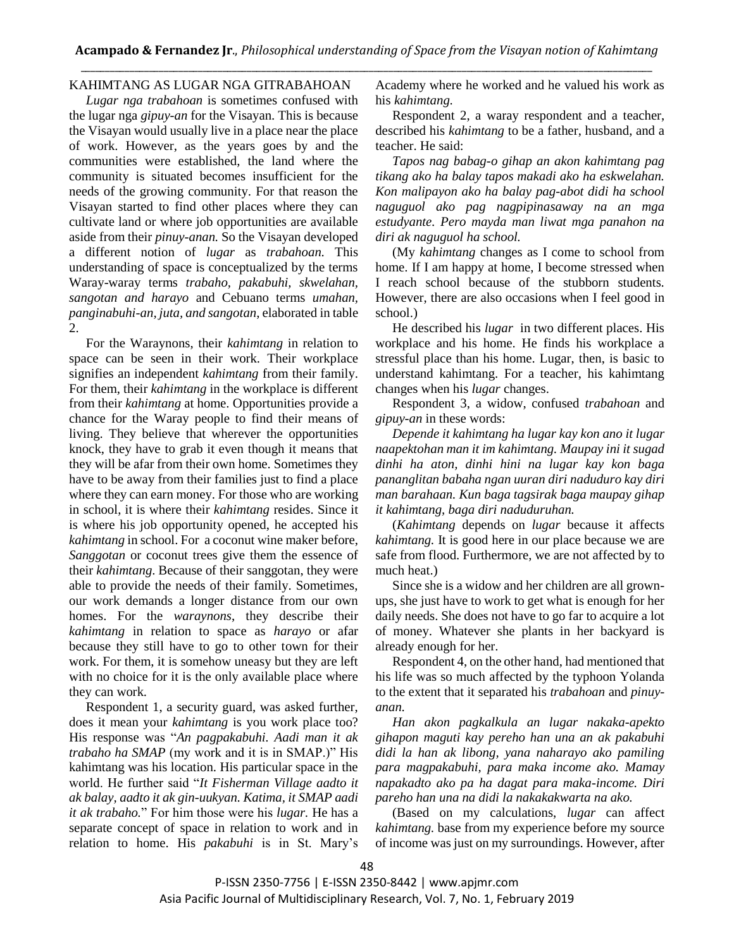# KAHIMTANG AS LUGAR NGA GITRABAHOAN

*Lugar nga trabahoan* is sometimes confused with the lugar nga *gipuy-an* for the Visayan. This is because the Visayan would usually live in a place near the place of work. However, as the years goes by and the communities were established, the land where the community is situated becomes insufficient for the needs of the growing community. For that reason the Visayan started to find other places where they can cultivate land or where job opportunities are available aside from their *pinuy-anan.* So the Visayan developed a different notion of *lugar* as *trabahoan.* This understanding of space is conceptualized by the terms Waray-waray terms *trabaho, pakabuhi, skwelahan, sangotan and harayo* and Cebuano terms *umahan, panginabuhi-an, juta, and sangotan*, elaborated in table 2.

For the Waraynons, their *kahimtang* in relation to space can be seen in their work. Their workplace signifies an independent *kahimtang* from their family. For them, their *kahimtang* in the workplace is different from their *kahimtang* at home. Opportunities provide a chance for the Waray people to find their means of living. They believe that wherever the opportunities knock, they have to grab it even though it means that they will be afar from their own home. Sometimes they have to be away from their families just to find a place where they can earn money. For those who are working in school, it is where their *kahimtang* resides. Since it is where his job opportunity opened, he accepted his *kahimtang* in school. For a coconut wine maker before, *Sanggotan* or coconut trees give them the essence of their *kahimtang*. Because of their sanggotan, they were able to provide the needs of their family. Sometimes, our work demands a longer distance from our own homes. For the *waraynons*, they describe their *kahimtang* in relation to space as *harayo* or afar because they still have to go to other town for their work. For them, it is somehow uneasy but they are left with no choice for it is the only available place where they can work.

Respondent 1, a security guard, was asked further, does it mean your *kahimtang* is you work place too? His response was "*An pagpakabuhi. Aadi man it ak trabaho ha SMAP* (my work and it is in SMAP.)" His kahimtang was his location. His particular space in the world. He further said "*It Fisherman Village aadto it ak balay, aadto it ak gin-uukyan. Katima, it SMAP aadi it ak trabaho.*" For him those were his *lugar.* He has a separate concept of space in relation to work and in relation to home. His *pakabuhi* is in St. Mary's Academy where he worked and he valued his work as his *kahimtang.* 

Respondent 2, a waray respondent and a teacher, described his *kahimtang* to be a father, husband, and a teacher. He said:

*Tapos nag babag-o gihap an akon kahimtang pag tikang ako ha balay tapos makadi ako ha eskwelahan. Kon malipayon ako ha balay pag-abot didi ha school naguguol ako pag nagpipinasaway na an mga estudyante. Pero mayda man liwat mga panahon na diri ak naguguol ha school.*

(My *kahimtang* changes as I come to school from home. If I am happy at home, I become stressed when I reach school because of the stubborn students. However, there are also occasions when I feel good in school.)

He described his *lugar* in two different places. His workplace and his home. He finds his workplace a stressful place than his home. Lugar, then, is basic to understand kahimtang. For a teacher, his kahimtang changes when his *lugar* changes.

Respondent 3, a widow, confused *trabahoan* and *gipuy-an* in these words:

*Depende it kahimtang ha lugar kay kon ano it lugar naapektohan man it im kahimtang. Maupay ini it sugad dinhi ha aton, dinhi hini na lugar kay kon baga pananglitan babaha ngan uuran diri naduduro kay diri man barahaan. Kun baga tagsirak baga maupay gihap it kahimtang, baga diri naduduruhan.* 

(*Kahimtang* depends on *lugar* because it affects *kahimtang.* It is good here in our place because we are safe from flood. Furthermore, we are not affected by to much heat.)

Since she is a widow and her children are all grownups, she just have to work to get what is enough for her daily needs. She does not have to go far to acquire a lot of money. Whatever she plants in her backyard is already enough for her.

Respondent 4, on the other hand, had mentioned that his life was so much affected by the typhoon Yolanda to the extent that it separated his *trabahoan* and *pinuyanan.* 

*Han akon pagkalkula an lugar nakaka-apekto gihapon maguti kay pereho han una an ak pakabuhi didi la han ak libong, yana naharayo ako pamiling para magpakabuhi, para maka income ako. Mamay napakadto ako pa ha dagat para maka-income. Diri pareho han una na didi la nakakakwarta na ako.* 

(Based on my calculations, *lugar* can affect *kahimtang.* base from my experience before my source of income was just on my surroundings. However, after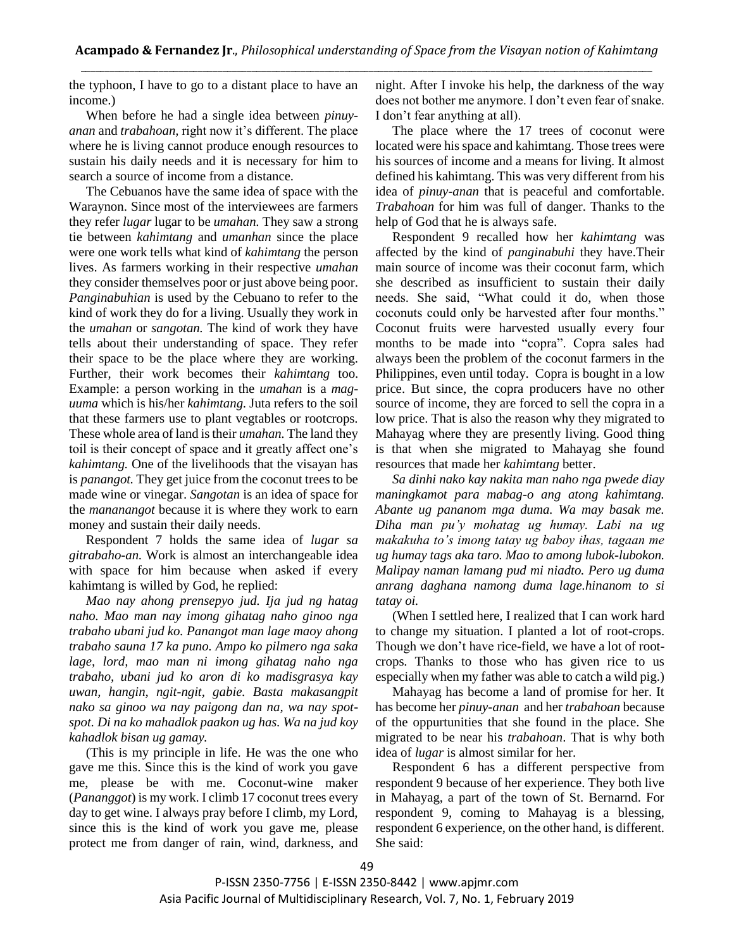the typhoon, I have to go to a distant place to have an income.)

When before he had a single idea between *pinuyanan* and *trabahoan,* right now it's different. The place where he is living cannot produce enough resources to sustain his daily needs and it is necessary for him to search a source of income from a distance.

The Cebuanos have the same idea of space with the Waraynon. Since most of the interviewees are farmers they refer *lugar* lugar to be *umahan.* They saw a strong tie between *kahimtang* and *umanhan* since the place were one work tells what kind of *kahimtang* the person lives. As farmers working in their respective *umahan*  they consider themselves poor or just above being poor. *Panginabuhian* is used by the Cebuano to refer to the kind of work they do for a living. Usually they work in the *umahan* or *sangotan.* The kind of work they have tells about their understanding of space. They refer their space to be the place where they are working. Further, their work becomes their *kahimtang* too. Example: a person working in the *umahan* is a *maguuma* which is his/her *kahimtang.* Juta refers to the soil that these farmers use to plant vegtables or rootcrops. These whole area of land is their *umahan.* The land they toil is their concept of space and it greatly affect one's *kahimtang.* One of the livelihoods that the visayan has is *panangot.* They get juice from the coconut trees to be made wine or vinegar. *Sangotan* is an idea of space for the *mananangot* because it is where they work to earn money and sustain their daily needs.

Respondent 7 holds the same idea of *lugar sa gitrabaho-an.* Work is almost an interchangeable idea with space for him because when asked if every kahimtang is willed by God, he replied:

*Mao nay ahong prensepyo jud. Ija jud ng hatag naho. Mao man nay imong gihatag naho ginoo nga trabaho ubani jud ko. Panangot man lage maoy ahong trabaho sauna 17 ka puno. Ampo ko pilmero nga saka lage, lord, mao man ni imong gihatag naho nga trabaho, ubani jud ko aron di ko madisgrasya kay uwan, hangin, ngit-ngit, gabie. Basta makasangpit nako sa ginoo wa nay paigong dan na, wa nay spotspot. Di na ko mahadlok paakon ug has. Wa na jud koy kahadlok bisan ug gamay.*

(This is my principle in life. He was the one who gave me this. Since this is the kind of work you gave me, please be with me. Coconut-wine maker (*Pananggot*) is my work. I climb 17 coconut trees every day to get wine. I always pray before I climb, my Lord, since this is the kind of work you gave me, please protect me from danger of rain, wind, darkness, and

night. After I invoke his help, the darkness of the way does not bother me anymore. I don't even fear of snake. I don't fear anything at all).

The place where the 17 trees of coconut were located were his space and kahimtang. Those trees were his sources of income and a means for living. It almost defined his kahimtang. This was very different from his idea of *pinuy-anan* that is peaceful and comfortable. *Trabahoan* for him was full of danger. Thanks to the help of God that he is always safe.

Respondent 9 recalled how her *kahimtang* was affected by the kind of *panginabuhi* they have.Their main source of income was their coconut farm, which she described as insufficient to sustain their daily needs. She said, "What could it do, when those coconuts could only be harvested after four months." Coconut fruits were harvested usually every four months to be made into "copra". Copra sales had always been the problem of the coconut farmers in the Philippines, even until today. Copra is bought in a low price. But since, the copra producers have no other source of income, they are forced to sell the copra in a low price. That is also the reason why they migrated to Mahayag where they are presently living. Good thing is that when she migrated to Mahayag she found resources that made her *kahimtang* better.

*Sa dinhi nako kay nakita man naho nga pwede diay maningkamot para mabag-o ang atong kahimtang. Abante ug pananom mga duma. Wa may basak me. Diha man pu'y mohatag ug humay. Labi na ug makakuha to's imong tatay ug baboy ihas, tagaan me ug humay tags aka taro. Mao to among lubok-lubokon. Malipay naman lamang pud mi niadto. Pero ug duma anrang daghana namong duma lage.hinanom to si tatay oi.*

(When I settled here, I realized that I can work hard to change my situation. I planted a lot of root-crops. Though we don't have rice-field, we have a lot of rootcrops. Thanks to those who has given rice to us especially when my father was able to catch a wild pig.)

Mahayag has become a land of promise for her. It has become her *pinuy-anan* and her *trabahoan* because of the oppurtunities that she found in the place. She migrated to be near his *trabahoan*. That is why both idea of *lugar* is almost similar for her.

Respondent 6 has a different perspective from respondent 9 because of her experience. They both live in Mahayag, a part of the town of St. Bernarnd. For respondent 9, coming to Mahayag is a blessing, respondent 6 experience, on the other hand, is different. She said: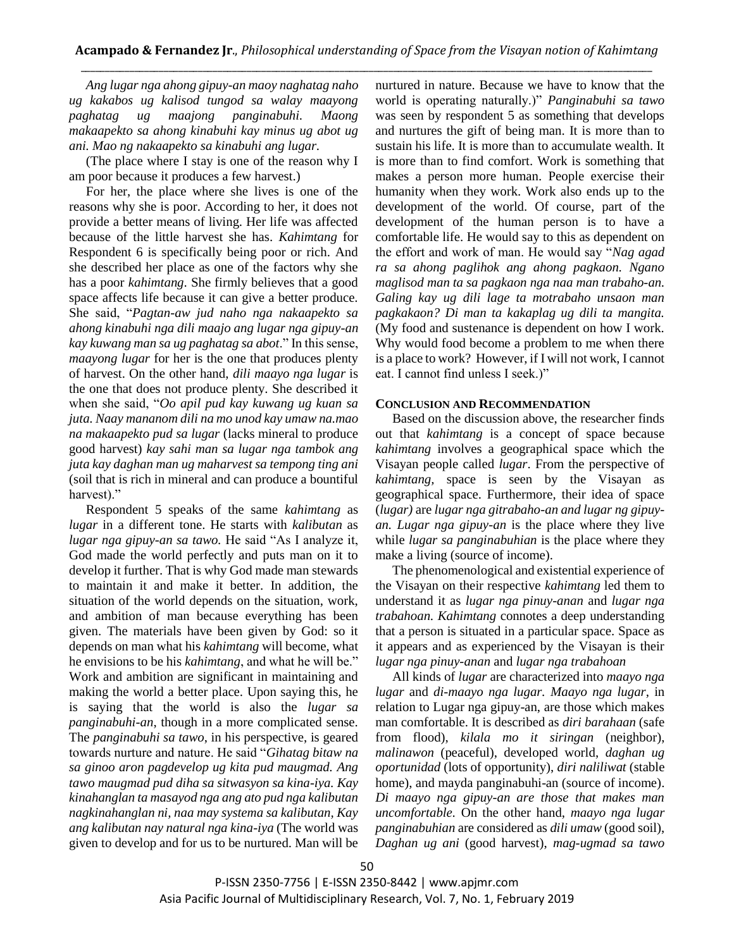*Ang lugar nga ahong gipuy-an maoy naghatag naho ug kakabos ug kalisod tungod sa walay maayong paghatag ug maajong panginabuhi. Maong makaapekto sa ahong kinabuhi kay minus ug abot ug ani. Mao ng nakaapekto sa kinabuhi ang lugar.* 

(The place where I stay is one of the reason why I am poor because it produces a few harvest.)

For her, the place where she lives is one of the reasons why she is poor. According to her, it does not provide a better means of living. Her life was affected because of the little harvest she has. *Kahimtang* for Respondent 6 is specifically being poor or rich. And she described her place as one of the factors why she has a poor *kahimtang*. She firmly believes that a good space affects life because it can give a better produce. She said, "*Pagtan-aw jud naho nga nakaapekto sa ahong kinabuhi nga dili maajo ang lugar nga gipuy-an kay kuwang man sa ug paghatag sa abot*." In this sense, *maayong lugar* for her is the one that produces plenty of harvest. On the other hand, *dili maayo nga lugar* is the one that does not produce plenty. She described it when she said, "*Oo apil pud kay kuwang ug kuan sa juta. Naay mananom dili na mo unod kay umaw na.mao na makaapekto pud sa lugar* (lacks mineral to produce good harvest) *kay sahi man sa lugar nga tambok ang juta kay daghan man ug maharvest sa tempong ting ani* (soil that is rich in mineral and can produce a bountiful harvest)."

Respondent 5 speaks of the same *kahimtang* as *lugar* in a different tone. He starts with *kalibutan* as *lugar nga gipuy-an sa tawo.* He said "As I analyze it, God made the world perfectly and puts man on it to develop it further. That is why God made man stewards to maintain it and make it better. In addition, the situation of the world depends on the situation, work, and ambition of man because everything has been given. The materials have been given by God: so it depends on man what his *kahimtang* will become, what he envisions to be his *kahimtang*, and what he will be." Work and ambition are significant in maintaining and making the world a better place. Upon saying this, he is saying that the world is also the *lugar sa panginabuhi-an*, though in a more complicated sense. The *panginabuhi sa tawo*, in his perspective, is geared towards nurture and nature. He said "*Gihatag bitaw na sa ginoo aron pagdevelop ug kita pud maugmad. Ang tawo maugmad pud diha sa sitwasyon sa kina-iya. Kay kinahanglan ta masayod nga ang ato pud nga kalibutan nagkinahanglan ni, naa may systema sa kalibutan, Kay ang kalibutan nay natural nga kina-iya* (The world was given to develop and for us to be nurtured. Man will be nurtured in nature. Because we have to know that the world is operating naturally.)" *Panginabuhi sa tawo* was seen by respondent 5 as something that develops and nurtures the gift of being man. It is more than to sustain his life. It is more than to accumulate wealth. It is more than to find comfort. Work is something that makes a person more human. People exercise their humanity when they work. Work also ends up to the development of the world. Of course, part of the development of the human person is to have a comfortable life. He would say to this as dependent on the effort and work of man. He would say "*Nag agad ra sa ahong paglihok ang ahong pagkaon. Ngano maglisod man ta sa pagkaon nga naa man trabaho-an. Galing kay ug dili lage ta motrabaho unsaon man pagkakaon? Di man ta kakaplag ug dili ta mangita.* (My food and sustenance is dependent on how I work. Why would food become a problem to me when there is a place to work? However, if I will not work, I cannot eat. I cannot find unless I seek.)"

#### **CONCLUSION AND RECOMMENDATION**

Based on the discussion above, the researcher finds out that *kahimtang* is a concept of space because *kahimtang* involves a geographical space which the Visayan people called *lugar*. From the perspective of *kahimtang,* space is seen by the Visayan as geographical space. Furthermore, their idea of space (*lugar)* are *lugar nga gitrabaho-an and lugar ng gipuyan. Lugar nga gipuy-an* is the place where they live while *lugar sa panginabuhian* is the place where they make a living (source of income).

The phenomenological and existential experience of the Visayan on their respective *kahimtang* led them to understand it as *lugar nga pinuy-anan* and *lugar nga trabahoan. Kahimtang* connotes a deep understanding that a person is situated in a particular space. Space as it appears and as experienced by the Visayan is their *lugar nga pinuy-anan* and *lugar nga trabahoan*

All kinds of *lugar* are characterized into *maayo nga lugar* and *di-maayo nga lugar. Maayo nga lugar*, in relation to Lugar nga gipuy-an, are those which makes man comfortable. It is described as *diri barahaan* (safe from flood), *kilala mo it siringan* (neighbor), *malinawon* (peaceful), developed world, *daghan ug oportunidad* (lots of opportunity), *diri naliliwat* (stable home), and mayda panginabuhi-an (source of income). *Di maayo nga gipuy-an are those that makes man uncomfortable.* On the other hand, *maayo nga lugar panginabuhian* are considered as *dili umaw* (good soil), *Daghan ug ani* (good harvest), *mag-ugmad sa tawo*